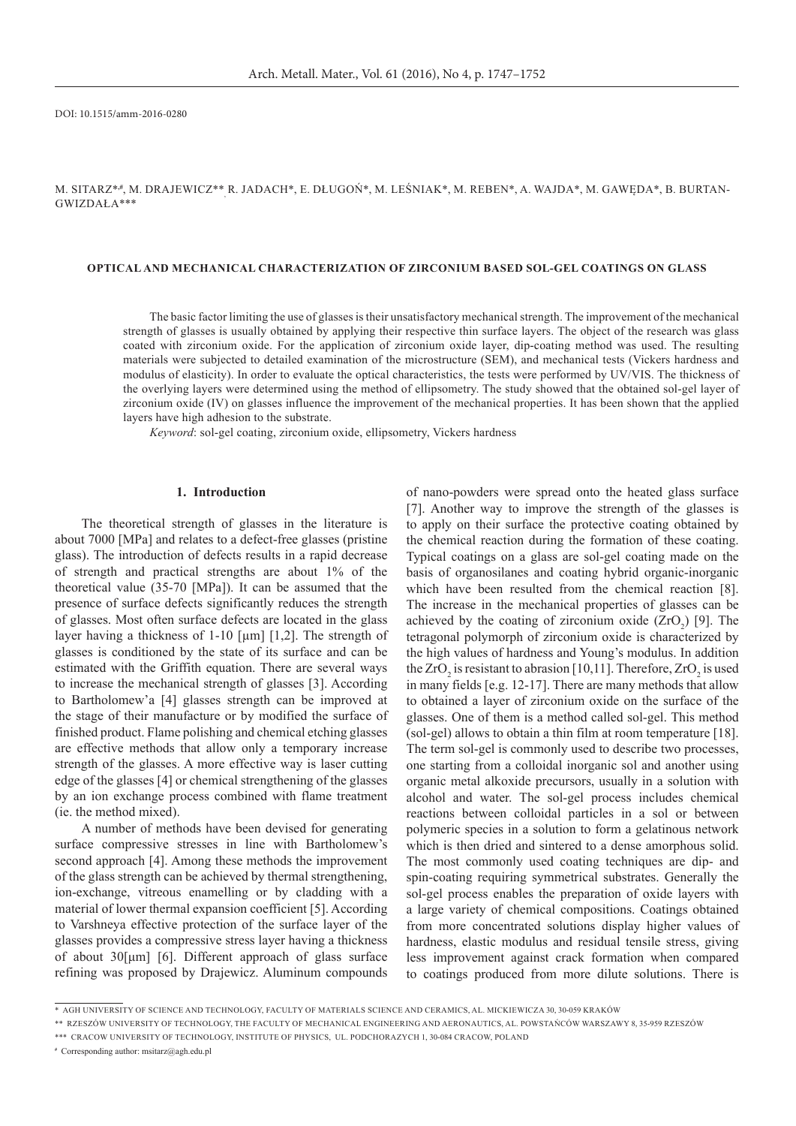DOI: 10.1515/amm-2016-0280

M. SITARZ\*#, M. DRAJEWICZ\*\*<sub>,</sub> R. JADACH\*, E. DŁUGOŃ\*, M. LEŚNIAK\*, M. REBEN\*, A. WAJDA\*, M. GAWĘDA\*, B. BURTAN-Gwizdała\*\*\*

#### **Optical and mechanical characterization of zirconium based sol-gel coatings on glass**

The basic factor limiting the use of glasses is their unsatisfactory mechanical strength. The improvement of the mechanical strength of glasses is usually obtained by applying their respective thin surface layers. The object of the research was glass coated with zirconium oxide. For the application of zirconium oxide layer, dip-coating method was used. The resulting materials were subjected to detailed examination of the microstructure (SEM), and mechanical tests (Vickers hardness and modulus of elasticity). In order to evaluate the optical characteristics, the tests were performed by UV/VIS. The thickness of the overlying layers were determined using the method of ellipsometry. The study showed that the obtained sol-gel layer of zirconium oxide (IV) on glasses influence the improvement of the mechanical properties. It has been shown that the applied layers have high adhesion to the substrate.

*Keyword*: sol-gel coating, zirconium oxide, ellipsometry, Vickers hardness

# **1. Introduction**

The theoretical strength of glasses in the literature is about 7000 [MPa] and relates to a defect-free glasses (pristine glass). The introduction of defects results in a rapid decrease of strength and practical strengths are about 1% of the theoretical value (35-70 [MPa]). It can be assumed that the presence of surface defects significantly reduces the strength of glasses. Most often surface defects are located in the glass layer having a thickness of 1-10 [µm] [1,2]. The strength of glasses is conditioned by the state of its surface and can be estimated with the Griffith equation. There are several ways to increase the mechanical strength of glasses [3]. According to Bartholomew'a [4] glasses strength can be improved at the stage of their manufacture or by modified the surface of finished product. Flame polishing and chemical etching glasses are effective methods that allow only a temporary increase strength of the glasses. A more effective way is laser cutting edge of the glasses [4] or chemical strengthening of the glasses by an ion exchange process combined with flame treatment (ie. the method mixed).

A number of methods have been devised for generating surface compressive stresses in line with Bartholomew's second approach [4]. Among these methods the improvement of the glass strength can be achieved by thermal strengthening, ion-exchange, vitreous enamelling or by cladding with a material of lower thermal expansion coefficient [5]. According to Varshneya effective protection of the surface layer of the glasses provides a compressive stress layer having a thickness of about 30[μm] [6]. Different approach of glass surface refining was proposed by Drajewicz. Aluminum compounds of nano-powders were spread onto the heated glass surface [7]. Another way to improve the strength of the glasses is to apply on their surface the protective coating obtained by the chemical reaction during the formation of these coating. Typical coatings on a glass are sol-gel coating made on the basis of organosilanes and coating hybrid organic-inorganic which have been resulted from the chemical reaction [8]. The increase in the mechanical properties of glasses can be achieved by the coating of zirconium oxide  $(ZrO<sub>2</sub>)$  [9]. The tetragonal polymorph of zirconium oxide is characterized by the high values of hardness and Young's modulus. In addition the ZrO<sub>2</sub> is resistant to abrasion [10,11]. Therefore, ZrO<sub>2</sub> is used in many fields [e.g. 12-17]. There are many methods that allow to obtained a layer of zirconium oxide on the surface of the glasses. One of them is a method called sol-gel. This method (sol-gel) allows to obtain a thin film at room temperature [18]. The term sol-gel is commonly used to describe two processes, one starting from a colloidal inorganic sol and another using organic metal alkoxide precursors, usually in a solution with alcohol and water. The sol-gel process includes chemical reactions between colloidal particles in a sol or between polymeric species in a solution to form a gelatinous network which is then dried and sintered to a dense amorphous solid. The most commonly used coating techniques are dip- and spin-coating requiring symmetrical substrates. Generally the sol-gel process enables the preparation of oxide layers with a large variety of chemical compositions. Coatings obtained from more concentrated solutions display higher values of hardness, elastic modulus and residual tensile stress, giving less improvement against crack formation when compared to coatings produced from more dilute solutions. There is

**#** Corresponding author: msitarz@agh.edu.pl

<sup>\*</sup>AGH University of Science and Technology, Faculty of Materials Science and Ceramics, Al. Mickiewicza 30, 30-059 Kraków

<sup>\*\*</sup>Rzeszów University of Technology, The Faculty of Mechanical Engineering and Aeronautics, Al. Powstańców Warszawy 8, 35-959 Rzeszów

<sup>\*\*\*</sup>Cracow University of Technology, Institute of Physics, ul. Podchorazych 1, 30-084 Cracow, Poland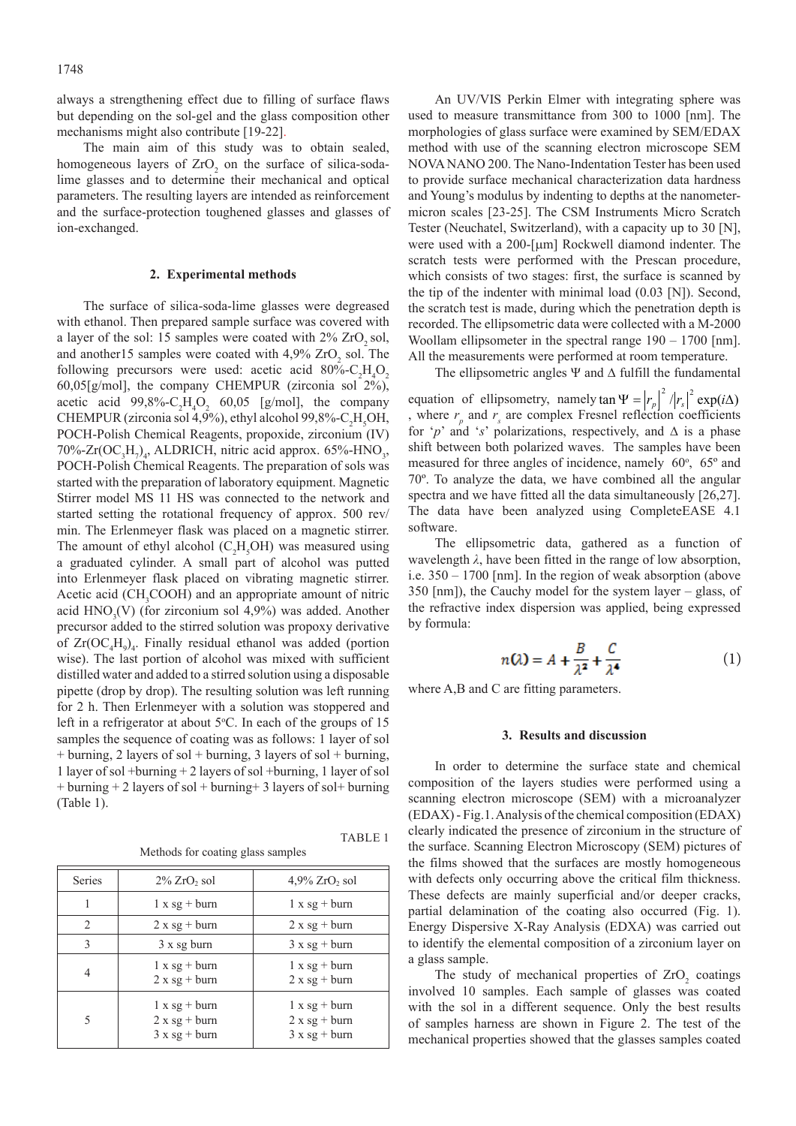always a strengthening effect due to filling of surface flaws but depending on the sol-gel and the glass composition other mechanisms might also contribute [19-22].

The main aim of this study was to obtain sealed, homogeneous layers of  $ZrO<sub>2</sub>$  on the surface of silica-sodalime glasses and to determine their mechanical and optical parameters. The resulting layers are intended as reinforcement and the surface-protection toughened glasses and glasses of ion-exchanged.

### **2. Experimental methods**

The surface of silica-soda-lime glasses were degreased with ethanol. Then prepared sample surface was covered with a layer of the sol: 15 samples were coated with  $2\%$  ZrO<sub>2</sub> sol, and another 15 samples were coated with  $4,9\%$  ZrO<sub>2</sub> sol. The following precursors were used: acetic acid  $80\%$ -C<sub>2</sub>H<sub>4</sub>O<sub>2</sub> 60,05[g/mol], the company CHEMPUR (zirconia sol 2%), acetic acid  $99,8\%$ -C<sub>2</sub>H<sub>4</sub>O<sub>2</sub> 60,05 [g/mol], the company CHEMPUR (zirconia sol 4,9%), ethyl alcohol 99,8%-C<sub>2</sub>H<sub>5</sub>OH, POCH-Polish Chemical Reagents, propoxide, zirconium (IV) 70%-Zr( $OC_3H_7$ )<sub>4</sub>, ALDRICH, nitric acid approx. 65%-HNO<sub>3</sub>, POCH-Polish Chemical Reagents. The preparation of sols was started with the preparation of laboratory equipment. Magnetic Stirrer model MS 11 HS was connected to the network and started setting the rotational frequency of approx. 500 rev/ min. The Erlenmeyer flask was placed on a magnetic stirrer. The amount of ethyl alcohol  $(C_2H_5OH)$  was measured using a graduated cylinder. A small part of alcohol was putted into Erlenmeyer flask placed on vibrating magnetic stirrer. Acetic acid (CH<sub>3</sub>COOH) and an appropriate amount of nitric acid  $HNO<sub>3</sub>(V)$  (for zirconium sol 4,9%) was added. Another precursor added to the stirred solution was propoxy derivative of  $Zr(OC_4H_9)_4$ . Finally residual ethanol was added (portion wise). The last portion of alcohol was mixed with sufficient distilled water and added to a stirred solution using a disposable pipette (drop by drop). The resulting solution was left running for 2 h. Then Erlenmeyer with a solution was stoppered and left in a refrigerator at about  $5^{\circ}$ C. In each of the groups of 15 samples the sequence of coating was as follows: 1 layer of sol + burning, 2 layers of sol + burning, 3 layers of sol + burning, 1 layer of sol +burning + 2 layers of sol +burning, 1 layer of sol  $+$  burning  $+$  2 layers of sol  $+$  burning  $+$  3 layers of sol  $+$  burning (Table 1).

Methods for coating glass samples

TABLE 1

| Series         | $2\%$ ZrO <sub>2</sub> sol                               | $4,9\%$ ZrO <sub>2</sub> sol                              |
|----------------|----------------------------------------------------------|-----------------------------------------------------------|
|                | $1 \times sg + burn$                                     | $1 x sg + burn$                                           |
| $\mathfrak{D}$ | $2 x s g + burn$                                         | $2 x s g + burn$                                          |
| $\mathcal{E}$  | $3x$ sg burn                                             | $3xsg + burn$                                             |
|                | $1 \times sg + burn$<br>$2 x s g + burn$                 | $1 \times sg + burn$<br>$2 x s g + burn$                  |
| 5              | $1 \times sg + burn$<br>$2 x sg + burn$<br>$3xsg + burn$ | $1 \times sg + burn$<br>$2 x s g + burn$<br>$3xsg + burn$ |

An UV/VIS Perkin Elmer with integrating sphere was used to measure transmittance from 300 to 1000 [nm]. The morphologies of glass surface were examined by SEM/EDAX method with use of the scanning electron microscope SEM NOVA NANO 200. The Nano-Indentation Tester has been used to provide surface mechanical characterization data hardness and Young's modulus by indenting to depths at the nanometermicron scales [23-25]. The CSM Instruments Micro Scratch Tester (Neuchatel, Switzerland), with a capacity up to 30 [N], were used with a 200-[µm] Rockwell diamond indenter. The scratch tests were performed with the Prescan procedure, which consists of two stages: first, the surface is scanned by the tip of the indenter with minimal load (0.03 [N]). Second, the scratch test is made, during which the penetration depth is recorded. The ellipsometric data were collected with a M-2000 Woollam ellipsometer in the spectral range  $190 - 1700$  [nm]. All the measurements were performed at room temperature.

The ellipsometric angles Ψ and ∆ fulfill the fundamental

equation of ellipsometry, namely  $\tan \Psi = |r_p|^2 / |r_s|^2 \exp(i\Delta)$ , where  $r_p$  and  $r_s$  are complex Fresnel reflection coefficients for ' $p$ ' and 's' polarizations, respectively, and  $\Delta$  is a phase shift between both polarized waves. The samples have been measured for three angles of incidence, namely  $60^\circ$ ,  $65^\circ$  and 70º. To analyze the data, we have combined all the angular spectra and we have fitted all the data simultaneously [26,27]. The data have been analyzed using CompleteEASE 4.1 software.

The ellipsometric data, gathered as a function of wavelength *λ*, have been fitted in the range of low absorption, i.e. 350 – 1700 [nm]. In the region of weak absorption (above 350 [nm]), the Cauchy model for the system layer – glass, of the refractive index dispersion was applied, being expressed by formula:

$$
n(\lambda) = A + \frac{B}{\lambda^2} + \frac{C}{\lambda^4}
$$
 (1)

where A,B and C are fitting parameters.

## **3. Results and discussion**

In order to determine the surface state and chemical composition of the layers studies were performed using a scanning electron microscope (SEM) with a microanalyzer (EDAX) - Fig.1. Analysis of the chemical composition (EDAX) clearly indicated the presence of zirconium in the structure of the surface. Scanning Electron Microscopy (SEM) pictures of the films showed that the surfaces are mostly homogeneous with defects only occurring above the critical film thickness. These defects are mainly superficial and/or deeper cracks, partial delamination of the coating also occurred (Fig. 1). Energy Dispersive X-Ray Analysis (EDXA) was carried out to identify the elemental composition of a zirconium layer on a glass sample.

The study of mechanical properties of  $ZrO<sub>2</sub>$  coatings involved 10 samples. Each sample of glasses was coated with the sol in a different sequence. Only the best results of samples harness are shown in Figure 2. The test of the mechanical properties showed that the glasses samples coated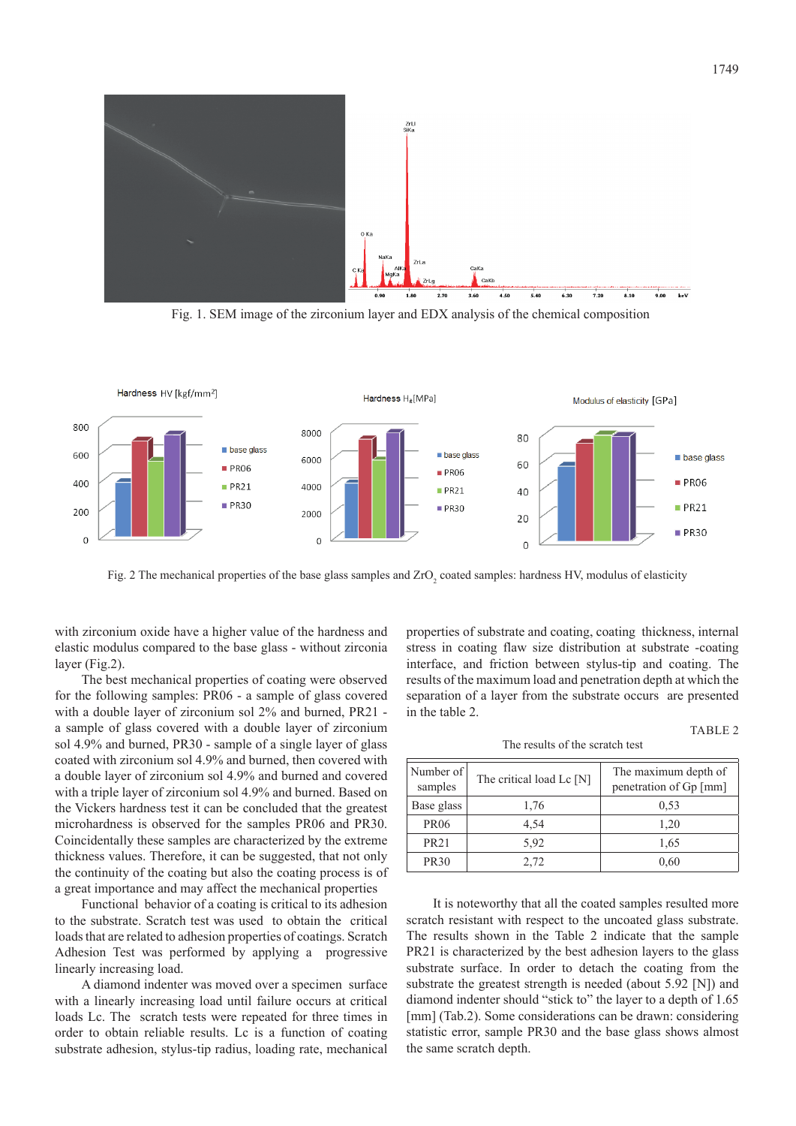

Fig. 1. SEM image of the zirconium layer and EDX analysis of the chemical composition



Fig. 2 The mechanical properties of the base glass samples and  $ZrO_2$  coated samples: hardness HV, modulus of elasticity

with zirconium oxide have a higher value of the hardness and elastic modulus compared to the base glass - without zirconia layer (Fig.2).

The best mechanical properties of coating were observed for the following samples: PR06 - a sample of glass covered with a double layer of zirconium sol 2% and burned, PR21 a sample of glass covered with a double layer of zirconium sol 4.9% and burned, PR30 - sample of a single layer of glass coated with zirconium sol 4.9% and burned, then covered with a double layer of zirconium sol 4.9% and burned and covered with a triple layer of zirconium sol 4.9% and burned. Based on the Vickers hardness test it can be concluded that the greatest microhardness is observed for the samples PR06 and PR30. Coincidentally these samples are characterized by the extreme thickness values. Therefore, it can be suggested, that not only the continuity of the coating but also the coating process is of a great importance and may affect the mechanical properties

Functional behavior of a coating is critical to its adhesion to the substrate. Scratch test was used to obtain the critical loads that are related to adhesion properties of coatings. Scratch Adhesion Test was performed by applying a progressive linearly increasing load.

A diamond indenter was moved over a specimen surface with a linearly increasing load until failure occurs at critical loads Lc. The scratch tests were repeated for three times in order to obtain reliable results. Lc is a function of coating substrate adhesion, stylus-tip radius, loading rate, mechanical

properties of substrate and coating, coating thickness, internal stress in coating flaw size distribution at substrate -coating interface, and friction between stylus-tip and coating. The results of the maximum load and penetration depth at which the separation of a layer from the substrate occurs are presented in the table 2.

#### TABLE 2

The results of the scratch test

| Number of<br>samples | The critical load Lc [N] | The maximum depth of<br>penetration of Gp [mm] |  |  |
|----------------------|--------------------------|------------------------------------------------|--|--|
| Base glass           | 1,76                     | 0.53                                           |  |  |
| <b>PR06</b>          | 4.54                     | 1,20                                           |  |  |
| <b>PR21</b>          | 5.92                     | 1,65                                           |  |  |
| <b>PR30</b>          | 2,72                     | 0,60                                           |  |  |

It is noteworthy that all the coated samples resulted more scratch resistant with respect to the uncoated glass substrate. The results shown in the Table 2 indicate that the sample PR21 is characterized by the best adhesion layers to the glass substrate surface. In order to detach the coating from the substrate the greatest strength is needed (about 5.92 [N]) and diamond indenter should "stick to" the layer to a depth of 1.65 [mm] (Tab.2). Some considerations can be drawn: considering statistic error, sample PR30 and the base glass shows almost the same scratch depth.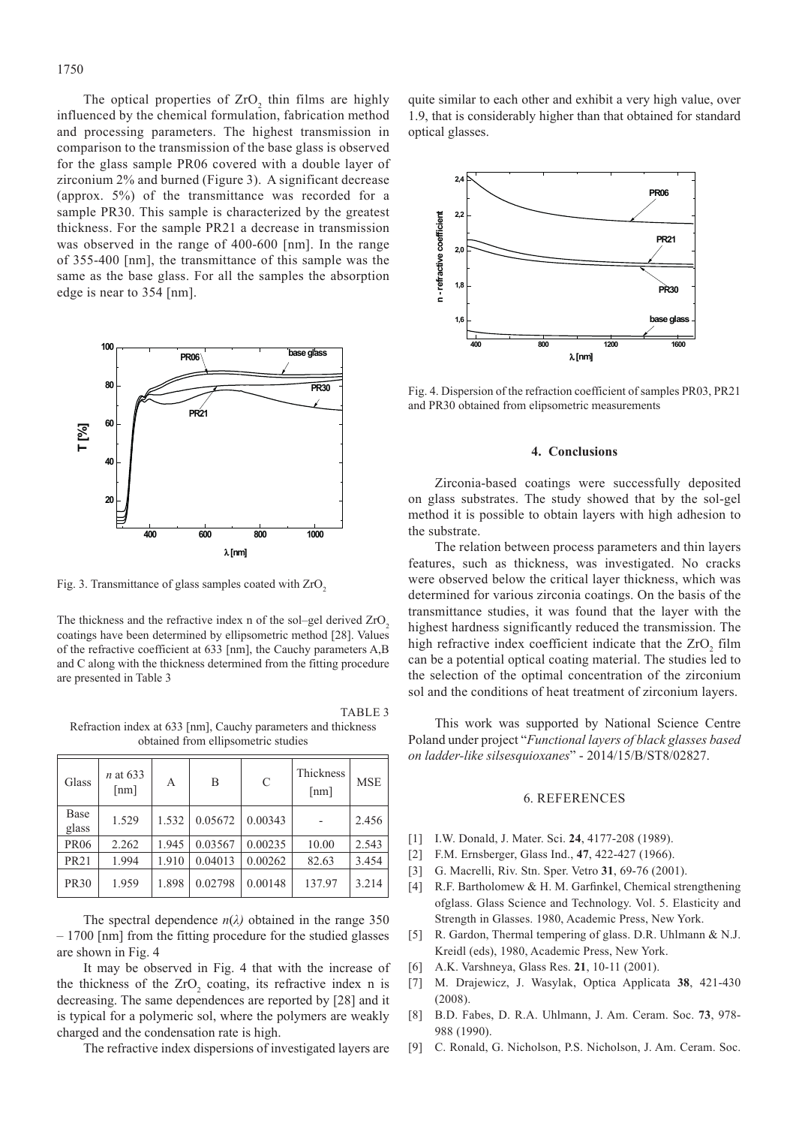The optical properties of  $ZrO_2$  thin films are highly influenced by the chemical formulation, fabrication method and processing parameters. The highest transmission in comparison to the transmission of the base glass is observed for the glass sample PR06 covered with a double layer of zirconium 2% and burned (Figure 3). A significant decrease (approx. 5%) of the transmittance was recorded for a sample PR30. This sample is characterized by the greatest thickness. For the sample PR21 a decrease in transmission was observed in the range of 400-600 [nm]. In the range of 355-400 [nm], the transmittance of this sample was the same as the base glass. For all the samples the absorption edge is near to 354 [nm].



Fig. 3. Transmittance of glass samples coated with ZrO<sub>2</sub>

The thickness and the refractive index n of the sol–gel derived  $ZrO<sub>2</sub>$ coatings have been determined by ellipsometric method [28]. Values of the refractive coefficient at 633 [nm], the Cauchy parameters A,B and C along with the thickness determined from the fitting procedure are presented in Table 3

TABLE 3 Refraction index at 633 [nm], Cauchy parameters and thickness obtained from ellipsometric studies

| Glass         | $n$ at 633<br>${\rm [nm]}$ | A     | B       | C       | Thickness<br>${\rm [nm]}$ | <b>MSE</b> |
|---------------|----------------------------|-------|---------|---------|---------------------------|------------|
| Base<br>glass | 1.529                      | 1.532 | 0.05672 | 0.00343 |                           | 2.456      |
| <b>PR06</b>   | 2.262                      | 1.945 | 0.03567 | 0.00235 | 10.00                     | 2.543      |
| <b>PR21</b>   | 1.994                      | 1.910 | 0.04013 | 0.00262 | 82.63                     | 3.454      |
| <b>PR30</b>   | 1.959                      | 1.898 | 0.02798 | 0.00148 | 137.97                    | 3.214      |

The spectral dependence  $n(\lambda)$  obtained in the range 350 – 1700 [nm] from the fitting procedure for the studied glasses are shown in Fig. 4

It may be observed in Fig. 4 that with the increase of the thickness of the  $ZrO_2$  coating, its refractive index n is decreasing. The same dependences are reported by [28] and it is typical for a polymeric sol, where the polymers are weakly charged and the condensation rate is high.

The refractive index dispersions of investigated layers are

quite similar to each other and exhibit a very high value, over 1.9, that is considerably higher than that obtained for standard optical glasses.



Fig. 4. Dispersion of the refraction coefficient of samples PR03, PR21 and PR30 obtained from elipsometric measurements

# **4. Conclusions**

Zirconia-based coatings were successfully deposited on glass substrates. The study showed that by the sol-gel method it is possible to obtain layers with high adhesion to the substrate.

The relation between process parameters and thin layers features, such as thickness, was investigated. No cracks were observed below the critical layer thickness, which was determined for various zirconia coatings. On the basis of the transmittance studies, it was found that the layer with the highest hardness significantly reduced the transmission. The high refractive index coefficient indicate that the  $ZrO_2$  film can be a potential optical coating material. The studies led to the selection of the optimal concentration of the zirconium sol and the conditions of heat treatment of zirconium layers.

This work was supported by National Science Centre Poland under project "*Functional layers of black glasses based on ladder-like silsesquioxanes*" - 2014/15/B/ST8/02827.

#### 6. References

- [1] I.W. Donald, J. Mater. Sci. **24**, 4177-208 (1989).
- [2] F.M. Ernsberger, Glass Ind., **47**, 422-427 (1966).
- [3] G. Macrelli, Riv. Stn. Sper. Vetro **31**, 69-76 (2001).
- [4] R.F. Bartholomew & H. M. Garfinkel, Chemical strengthening ofglass. Glass Science and Technology. Vol. 5. Elasticity and Strength in Glasses. 1980, Academic Press, New York.
- [5] R. Gardon, Thermal tempering of glass. D.R. Uhlmann & N.J. Kreidl (eds), 1980, Academic Press, New York.
- [6] A.K. Varshneya, Glass Res. **21**, 10-11 (2001).
- [7] M. Drajewicz, J. Wasylak, Optica Applicata **38**, 421-430 (2008).
- [8] B.D. Fabes, D. R.A. Uhlmann, J. Am. Ceram. Soc. **73**, 978- 988 (1990).
- [9] C. Ronald, G. Nicholson, P.S. Nicholson, J. Am. Ceram. Soc.